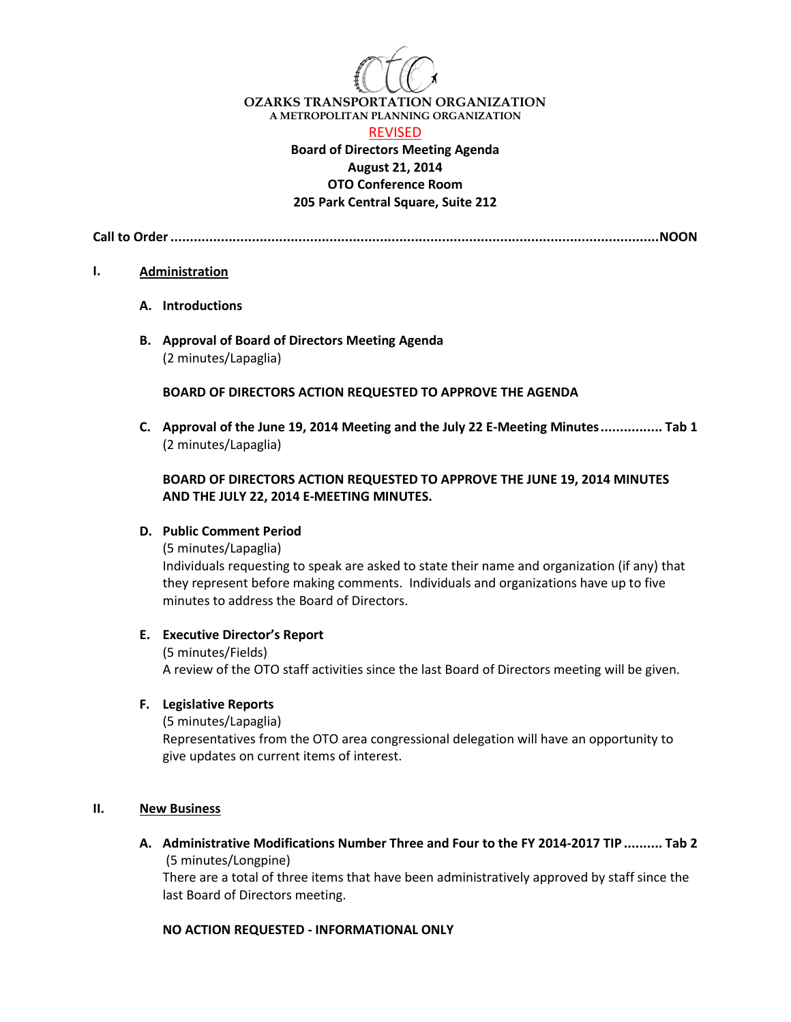

**OZARKS TRANSPORTATION ORGANIZATION A METROPOLITAN PLANNING ORGANIZATION**

#### REVISED

## **Board of Directors Meeting Agenda August 21, 2014 OTO Conference Room 205 Park Central Square, Suite 212**

**Call to Order..............................................................................................................................NOON**

#### **I. Administration**

- **A. Introductions**
- **B. Approval of Board of Directors Meeting Agenda** (2 minutes/Lapaglia)

#### **BOARD OF DIRECTORS ACTION REQUESTED TO APPROVE THE AGENDA**

**C. Approval of the June 19, 2014 Meeting and the July 22 E-Meeting Minutes................ Tab 1** (2 minutes/Lapaglia)

## **BOARD OF DIRECTORS ACTION REQUESTED TO APPROVE THE JUNE 19, 2014 MINUTES AND THE JULY 22, 2014 E-MEETING MINUTES.**

## **D. Public Comment Period**

(5 minutes/Lapaglia)

Individuals requesting to speak are asked to state their name and organization (if any) that they represent before making comments. Individuals and organizations have up to five minutes to address the Board of Directors.

#### **E. Executive Director's Report**

(5 minutes/Fields) A review of the OTO staff activities since the last Board of Directors meeting will be given.

#### **F. Legislative Reports**

(5 minutes/Lapaglia)

Representatives from the OTO area congressional delegation will have an opportunity to give updates on current items of interest.

#### **II. New Business**

**A. Administrative Modifications Number Three and Four to the FY 2014-2017 TIP.......... Tab 2** (5 minutes/Longpine)

There are a total of three items that have been administratively approved by staff since the last Board of Directors meeting.

#### **NO ACTION REQUESTED - INFORMATIONAL ONLY**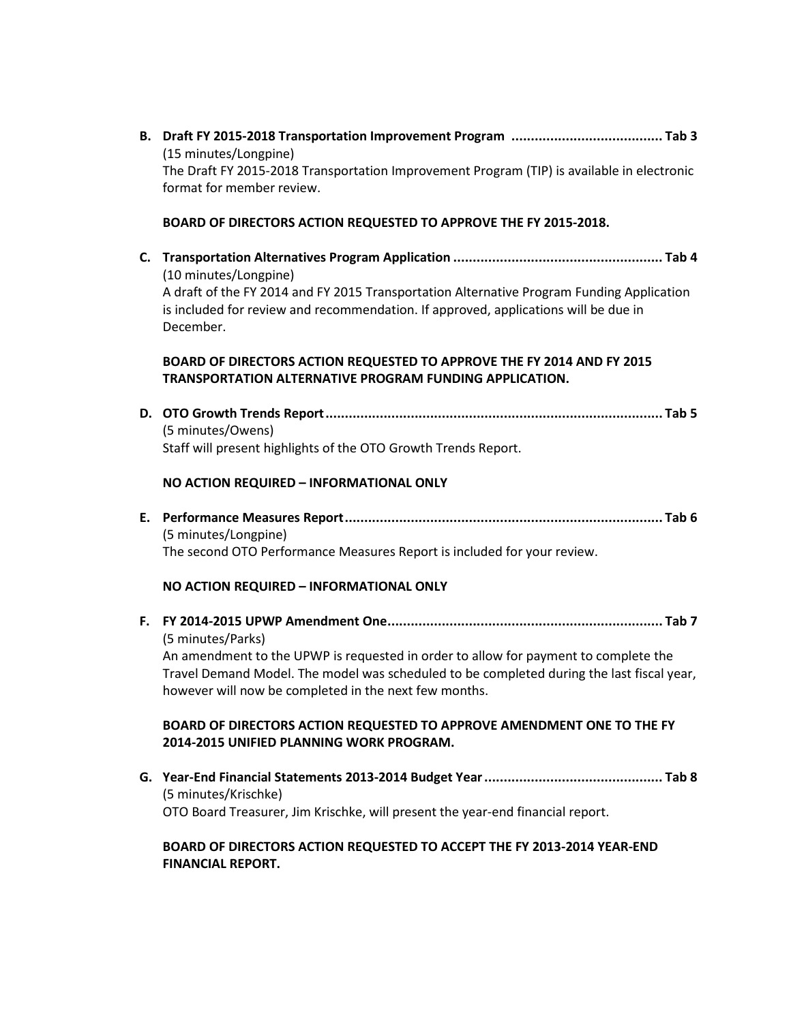**B. Draft FY 2015-2018 Transportation Improvement Program ....................................... Tab 3** (15 minutes/Longpine) The Draft FY 2015-2018 Transportation Improvement Program (TIP) is available in electronic format for member review. **BOARD OF DIRECTORS ACTION REQUESTED TO APPROVE THE FY 2015-2018. C. Transportation Alternatives Program Application ...................................................... Tab 4** (10 minutes/Longpine) A draft of the FY 2014 and FY 2015 Transportation Alternative Program Funding Application is included for review and recommendation. If approved, applications will be due in December. **BOARD OF DIRECTORS ACTION REQUESTED TO APPROVE THE FY 2014 AND FY 2015 TRANSPORTATION ALTERNATIVE PROGRAM FUNDING APPLICATION. D. OTO Growth Trends Report....................................................................................... Tab 5** (5 minutes/Owens) Staff will present highlights of the OTO Growth Trends Report. **NO ACTION REQUIRED – INFORMATIONAL ONLY E. Performance Measures Report.................................................................................. Tab 6** (5 minutes/Longpine) The second OTO Performance Measures Report is included for your review. **NO ACTION REQUIRED – INFORMATIONAL ONLY F. FY 2014-2015 UPWP Amendment One....................................................................... Tab 7** (5 minutes/Parks) An amendment to the UPWP is requested in order to allow for payment to complete the Travel Demand Model. The model was scheduled to be completed during the last fiscal year, however will now be completed in the next few months. **BOARD OF DIRECTORS ACTION REQUESTED TO APPROVE AMENDMENT ONE TO THE FY 2014-2015 UNIFIED PLANNING WORK PROGRAM. G. Year-End Financial Statements 2013-2014 Budget Year.............................................. Tab 8** (5 minutes/Krischke) OTO Board Treasurer, Jim Krischke, will present the year-end financial report.

# **BOARD OF DIRECTORS ACTION REQUESTED TO ACCEPT THE FY 2013-2014 YEAR-END FINANCIAL REPORT.**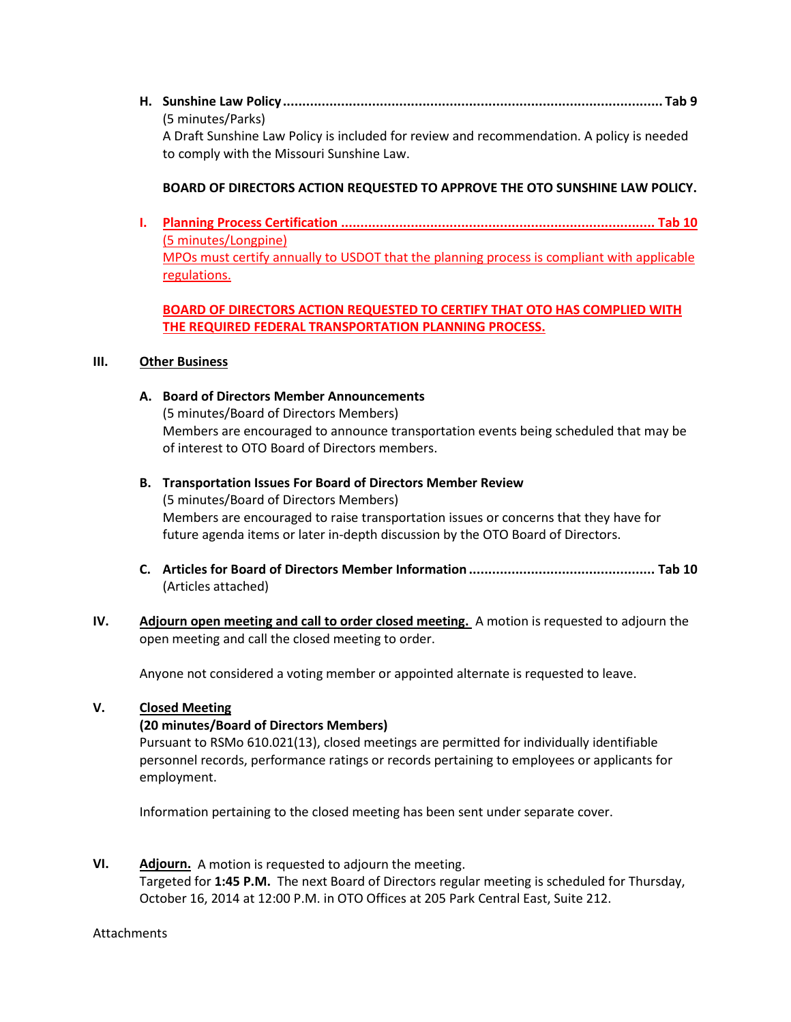**H. Sunshine Law Policy.................................................................................................. Tab 9**  (5 minutes/Parks) A Draft Sunshine Law Policy is included for review and recommendation. A policy is needed to comply with the Missouri Sunshine Law.

## **BOARD OF DIRECTORS ACTION REQUESTED TO APPROVE THE OTO SUNSHINE LAW POLICY.**

**I. Planning Process Certification ................................................................................. Tab 10** (5 minutes/Longpine) MPOs must certify annually to USDOT that the planning process is compliant with applicable regulations.

## **BOARD OF DIRECTORS ACTION REQUESTED TO CERTIFY THAT OTO HAS COMPLIED WITH THE REQUIRED FEDERAL TRANSPORTATION PLANNING PROCESS.**

## **III. Other Business**

**A. Board of Directors Member Announcements**

(5 minutes/Board of Directors Members) Members are encouraged to announce transportation events being scheduled that may be of interest to OTO Board of Directors members.

- **B. Transportation Issues For Board of Directors Member Review** (5 minutes/Board of Directors Members) Members are encouraged to raise transportation issues or concerns that they have for future agenda items or later in-depth discussion by the OTO Board of Directors.
- **C. Articles for Board of Directors Member Information ................................................ Tab 10** (Articles attached)
- **IV. Adjourn open meeting and call to order closed meeting.** A motion is requested to adjourn the open meeting and call the closed meeting to order.

Anyone not considered a voting member or appointed alternate is requested to leave.

## **V. Closed Meeting**

## **(20 minutes/Board of Directors Members)**

Pursuant to RSMo 610.021(13), closed meetings are permitted for individually identifiable personnel records, performance ratings or records pertaining to employees or applicants for employment.

Information pertaining to the closed meeting has been sent under separate cover.

**VI. Adjourn.** A motion is requested to adjourn the meeting. Targeted for **1:45 P.M.** The next Board of Directors regular meeting is scheduled for Thursday, October 16, 2014 at 12:00 P.M. in OTO Offices at 205 Park Central East, Suite 212.

**Attachments**